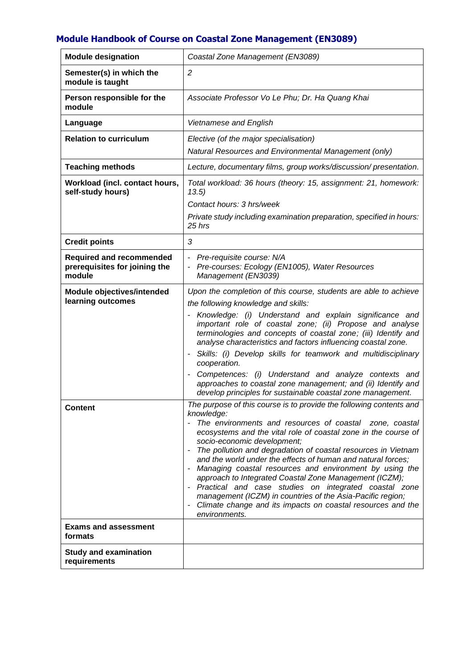## **Module Handbook of Course on Coastal Zone Management (EN3089)**

| <b>Module designation</b>                                                  | Coastal Zone Management (EN3089)                                                                                                                                                                                                                                                                                                                                                                                                                                                                                                                                                                                                                                                                                                       |
|----------------------------------------------------------------------------|----------------------------------------------------------------------------------------------------------------------------------------------------------------------------------------------------------------------------------------------------------------------------------------------------------------------------------------------------------------------------------------------------------------------------------------------------------------------------------------------------------------------------------------------------------------------------------------------------------------------------------------------------------------------------------------------------------------------------------------|
| Semester(s) in which the<br>module is taught                               | $\overline{2}$                                                                                                                                                                                                                                                                                                                                                                                                                                                                                                                                                                                                                                                                                                                         |
| Person responsible for the<br>module                                       | Associate Professor Vo Le Phu; Dr. Ha Quang Khai                                                                                                                                                                                                                                                                                                                                                                                                                                                                                                                                                                                                                                                                                       |
| Language                                                                   | Vietnamese and English                                                                                                                                                                                                                                                                                                                                                                                                                                                                                                                                                                                                                                                                                                                 |
| <b>Relation to curriculum</b>                                              | Elective (of the major specialisation)<br>Natural Resources and Environmental Management (only)                                                                                                                                                                                                                                                                                                                                                                                                                                                                                                                                                                                                                                        |
| <b>Teaching methods</b>                                                    | Lecture, documentary films, group works/discussion/presentation.                                                                                                                                                                                                                                                                                                                                                                                                                                                                                                                                                                                                                                                                       |
| Workload (incl. contact hours,<br>self-study hours)                        | Total workload: 36 hours (theory: 15, assignment: 21, homework:<br>13.5)<br>Contact hours: 3 hrs/week<br>Private study including examination preparation, specified in hours:<br>25 hrs                                                                                                                                                                                                                                                                                                                                                                                                                                                                                                                                                |
| <b>Credit points</b>                                                       | 3                                                                                                                                                                                                                                                                                                                                                                                                                                                                                                                                                                                                                                                                                                                                      |
| <b>Required and recommended</b><br>prerequisites for joining the<br>module | Pre-requisite course: N/A<br>۰<br>Pre-courses: Ecology (EN1005), Water Resources<br>Management (EN3039)                                                                                                                                                                                                                                                                                                                                                                                                                                                                                                                                                                                                                                |
| Module objectives/intended<br>learning outcomes                            | Upon the completion of this course, students are able to achieve<br>the following knowledge and skills:<br>Knowledge: (i) Understand and explain significance and<br>important role of coastal zone; (ii) Propose and analyse<br>terminologies and concepts of coastal zone; (iii) Identify and<br>analyse characteristics and factors influencing coastal zone.<br>Skills: (i) Develop skills for teamwork and multidisciplinary<br>cooperation.<br>Competences: (i) Understand and analyze contexts and<br>approaches to coastal zone management; and (ii) Identify and<br>develop principles for sustainable coastal zone management.                                                                                               |
| <b>Content</b>                                                             | The purpose of this course is to provide the following contents and<br>knowledge:<br>The environments and resources of coastal zone, coastal<br>ecosystems and the vital role of coastal zone in the course of<br>socio-economic development;<br>The pollution and degradation of coastal resources in Vietnam<br>and the world under the effects of human and natural forces;<br>Managing coastal resources and environment by using the<br>approach to Integrated Coastal Zone Management (ICZM);<br>Practical and case studies on integrated coastal zone<br>$\overline{\phantom{a}}$<br>management (ICZM) in countries of the Asia-Pacific region;<br>Climate change and its impacts on coastal resources and the<br>environments. |
| <b>Exams and assessment</b><br>formats                                     |                                                                                                                                                                                                                                                                                                                                                                                                                                                                                                                                                                                                                                                                                                                                        |
| <b>Study and examination</b><br>requirements                               |                                                                                                                                                                                                                                                                                                                                                                                                                                                                                                                                                                                                                                                                                                                                        |